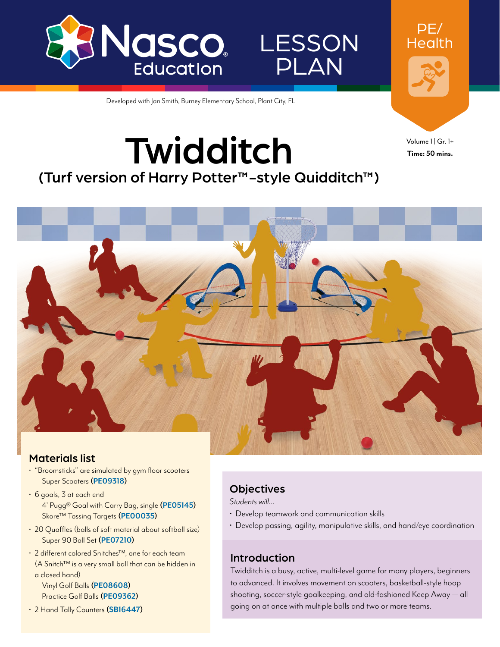

LESSON PLAN

Developed with Jan Smith, Burney Elementary School, Plant City, FL

**Twidditch** 

(Turf version of Harry Potter™-style Quidditch™)

Volume 1 | Gr. 1+ **Time: 50 mins.**

PE/ Health

### Materials list

- "Broomsticks" are simulated by gym floor scooters Super Scooters **[\(PE09318](http://www.enasco.com/p/PE09318))**
- 6 goals, 3 at each end 4' Pugg® Goal with Carry Bag, single **[\(PE05145\)](http://www.enasco.com/p/PE05145)** Skore™ Tossing Targets **[\(PE00035](http://www.enasco.com/p/PE00035))**
- 20 Quaffles (balls of soft material about softball size) Super 90 Ball Set **[\(PE07210](http://www.enasco.com/p/PE07210))**
- 2 different colored Snitches™, one for each team (A Snitch™ is a very small ball that can be hidden in a closed hand)
	- Vinyl Golf Balls **[\(PE08608](http://www.enasco.com/p/PE08608))** Practice Golf Balls **[\(PE09362](http://www.enasco.com/p/PE09362))**
- 2 Hand Tally Counters **([SB16447](http://www.enasco.com/p/SB16447))**

## **Objectives**

*Students will…*

- Develop teamwork and communication skills
- Develop passing, agility, manipulative skills, and hand/eye coordination

### Introduction

Twidditch is a busy, active, multi-level game for many players, beginners to advanced. It involves movement on scooters, basketball-style hoop shooting, soccer-style goalkeeping, and old-fashioned Keep Away — all going on at once with multiple balls and two or more teams.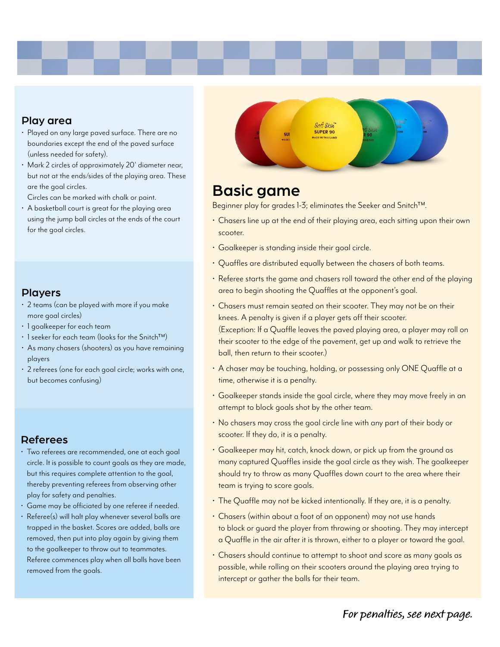#### Play area

- Played on any large paved surface. There are no boundaries except the end of the paved surface (unless needed for safety).
- Mark 2 circles of approximately 20' diameter near, but not at the ends/sides of the playing area. These are the goal circles.

Circles can be marked with chalk or paint.

• A basketball court is great for the playing area using the jump ball circles at the ends of the court for the goal circles.

#### Players

- 2 teams (can be played with more if you make more goal circles)
- 1 goalkeeper for each team
- 1 seeker for each team (looks for the Snitch™)
- As many chasers (shooters) as you have remaining players
- 2 referees (one for each goal circle; works with one, but becomes confusing)

#### Referees

- Two referees are recommended, one at each goal circle. It is possible to count goals as they are made, but this requires complete attention to the goal, thereby preventing referees from observing other play for safety and penalties.
- Game may be officiated by one referee if needed.
- Referee(s) will halt play whenever several balls are trapped in the basket. Scores are added, balls are removed, then put into play again by giving them to the goalkeeper to throw out to teammates. Referee commences play when all balls have been removed from the goals.



## Basic game

Beginner play for grades 1-3; eliminates the Seeker and Snitch™.

- Chasers line up at the end of their playing area, each sitting upon their own scooter.
- Goalkeeper is standing inside their goal circle.
- Quaffles are distributed equally between the chasers of both teams.
- Referee starts the game and chasers roll toward the other end of the playing area to begin shooting the Quaffles at the opponent's goal.
- Chasers must remain seated on their scooter. They may not be on their knees. A penalty is given if a player gets off their scooter. (Exception: If a Quaffle leaves the paved playing area, a player may roll on their scooter to the edge of the pavement, get up and walk to retrieve the ball, then return to their scooter.)
- A chaser may be touching, holding, or possessing only ONE Quaffle at a time, otherwise it is a penalty.
- Goalkeeper stands inside the goal circle, where they may move freely in an attempt to block goals shot by the other team.
- No chasers may cross the goal circle line with any part of their body or scooter. If they do, it is a penalty.
- Goalkeeper may hit, catch, knock down, or pick up from the ground as many captured Quaffles inside the goal circle as they wish. The goalkeeper should try to throw as many Quaffles down court to the area where their team is trying to score goals.
- The Quaffle may not be kicked intentionally. If they are, it is a penalty.
- Chasers (within about a foot of an opponent) may not use hands to block or guard the player from throwing or shooting. They may intercept a Quaffle in the air after it is thrown, either to a player or toward the goal.
- Chasers should continue to attempt to shoot and score as many goals as possible, while rolling on their scooters around the playing area trying to intercept or gather the balls for their team.